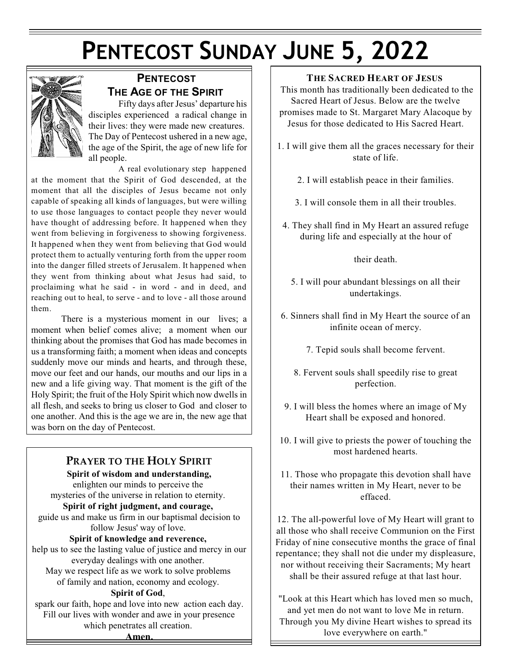# **PENTECOST SUNDAY JUNE 5, 2022**



## **PENTECOST THE AGE OF THE SPIRIT**

Fifty days after Jesus' departure his disciples experienced a radical change in their lives: they were made new creatures. The Day of Pentecost ushered in a new age, the age of the Spirit, the age of new life for all people.

A real evolutionary step happened at the moment that the Spirit of God descended, at the moment that all the disciples of Jesus became not only capable of speaking all kinds of languages, but were willing to use those languages to contact people they never would have thought of addressing before. It happened when they went from believing in forgiveness to showing forgiveness. It happened when they went from believing that God would protect them to actually venturing forth from the upper room into the danger filled streets of Jerusalem. It happened when they went from thinking about what Jesus had said, to proclaiming what he said - in word - and in deed, and reaching out to heal, to serve - and to love - all those around them.

There is a mysterious moment in our lives; a moment when belief comes alive; a moment when our thinking about the promises that God has made becomes in us a transforming faith; a moment when ideas and concepts suddenly move our minds and hearts, and through these, move our feet and our hands, our mouths and our lips in a new and a life giving way. That moment is the gift of the Holy Spirit; the fruit of the Holy Spirit which now dwells in all flesh, and seeks to bring us closer to God and closer to one another. And this is the age we are in, the new age that was born on the day of Pentecost.

# **PRAYER TO THE HOLY SPIRIT**

**Spirit of wisdom and understanding,**

enlighten our minds to perceive the mysteries of the universe in relation to eternity.

**Spirit of right judgment, and courage,** guide us and make us firm in our baptismal decision to follow Jesus' way of love.

**Spirit of knowledge and reverence,**

help us to see the lasting value of justice and mercy in our everyday dealings with one another. May we respect life as we work to solve problems of family and nation, economy and ecology.

#### **Spirit of God**,

spark our faith, hope and love into new action each day. Fill our lives with wonder and awe in your presence which penetrates all creation.

**Amen.**

## **THE SACRED HEART OF JESUS**

 This month has traditionally been dedicated to the Sacred Heart of Jesus. Below are the twelve promises made to St. Margaret Mary Alacoque by Jesus for those dedicated to His Sacred Heart.

- 1. I will give them all the graces necessary for their state of life.
	- 2. I will establish peace in their families.
	- 3. I will console them in all their troubles.
- 4. They shall find in My Heart an assured refuge during life and especially at the hour of

their death.

5. I will pour abundant blessings on all their undertakings.

- 6. Sinners shall find in My Heart the source of an infinite ocean of mercy.
	- 7. Tepid souls shall become fervent.
	- 8. Fervent souls shall speedily rise to great perfection.
- 9. I will bless the homes where an image of My Heart shall be exposed and honored.
- 10. I will give to priests the power of touching the most hardened hearts.
- 11. Those who propagate this devotion shall have their names written in My Heart, never to be effaced.

12. The all-powerful love of My Heart will grant to all those who shall receive Communion on the First Friday of nine consecutive months the grace of final repentance; they shall not die under my displeasure, nor without receiving their Sacraments; My heart shall be their assured refuge at that last hour.

"Look at this Heart which has loved men so much, and yet men do not want to love Me in return. Through you My divine Heart wishes to spread its love everywhere on earth."